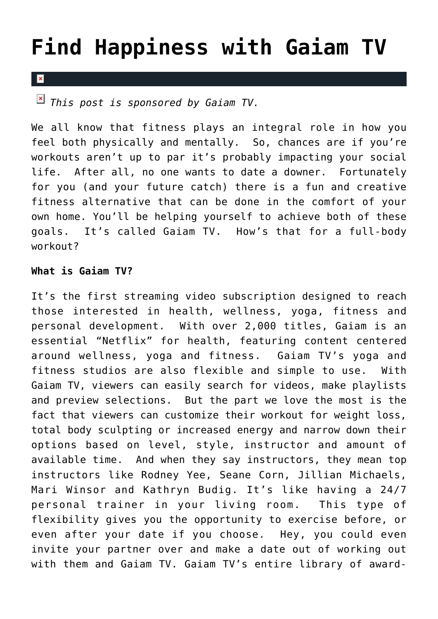## **[Find Happiness with Gaiam TV](https://cupidspulse.com/26867/gaiam-tv-streaming-video-fitness-health/)**

## $\mathbf{x}$

*This post is sponsored by Gaiam TV.*

We all know that fitness plays an integral role in how you feel both physically and mentally. So, chances are if you're workouts aren't up to par it's probably impacting your social life. After all, no one wants to date a downer. Fortunately for you (and your future catch) there is a fun and creative fitness alternative that can be done in the comfort of your own home. You'll be helping yourself to achieve both of these goals. It's called Gaiam TV. How's that for a full-body workout?

## **What is Gaiam TV?**

It's the first streaming video subscription designed to reach those interested in health, wellness, yoga, fitness and personal development. With over 2,000 titles, Gaiam is an essential "Netflix" for health, featuring content centered around wellness, yoga and fitness. Gaiam TV's yoga and fitness studios are also flexible and simple to use. With Gaiam TV, viewers can easily search for videos, make playlists and preview selections. But the part we love the most is the fact that viewers can customize their workout for weight loss, total body sculpting or increased energy and narrow down their options based on level, style, instructor and amount of available time. And when they say instructors, they mean top instructors like Rodney Yee, Seane Corn, Jillian Michaels, Mari Winsor and Kathryn Budig. It's like having a 24/7 personal trainer in your living room. This type of flexibility gives you the opportunity to exercise before, or even after your date if you choose. Hey, you could even invite your partner over and make a date out of working out with them and Gaiam TV. Gaiam TV's entire library of award